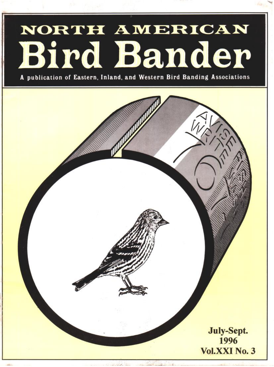# NORTH AMERICAN **ird ander**

**publication of Eastern, Inland, and Western Bird Banding Associations**